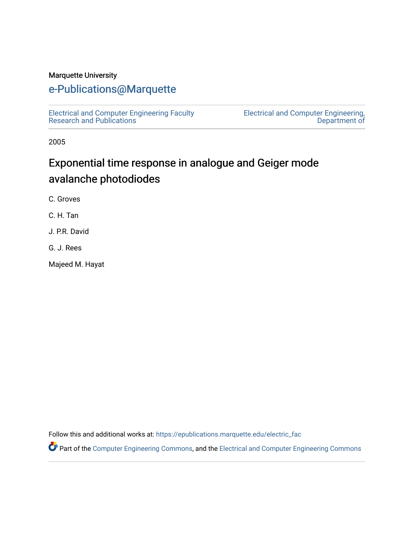#### Marquette University

## [e-Publications@Marquette](https://epublications.marquette.edu/)

[Electrical and Computer Engineering Faculty](https://epublications.marquette.edu/electric_fac) [Research and Publications](https://epublications.marquette.edu/electric_fac) 

[Electrical and Computer Engineering,](https://epublications.marquette.edu/electric)  [Department of](https://epublications.marquette.edu/electric) 

2005

## Exponential time response in analogue and Geiger mode avalanche photodiodes

C. Groves

C. H. Tan

J. P.R. David

G. J. Rees

Majeed M. Hayat

Follow this and additional works at: [https://epublications.marquette.edu/electric\\_fac](https://epublications.marquette.edu/electric_fac?utm_source=epublications.marquette.edu%2Felectric_fac%2F541&utm_medium=PDF&utm_campaign=PDFCoverPages) 

Part of the [Computer Engineering Commons,](http://network.bepress.com/hgg/discipline/258?utm_source=epublications.marquette.edu%2Felectric_fac%2F541&utm_medium=PDF&utm_campaign=PDFCoverPages) and the [Electrical and Computer Engineering Commons](http://network.bepress.com/hgg/discipline/266?utm_source=epublications.marquette.edu%2Felectric_fac%2F541&utm_medium=PDF&utm_campaign=PDFCoverPages)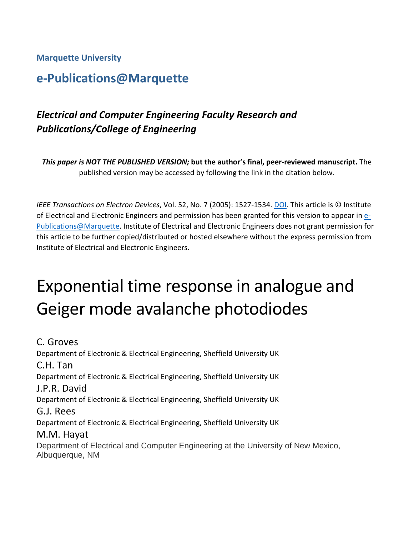**Marquette University**

## **e-Publications@Marquette**

## *Electrical and Computer Engineering Faculty Research and Publications/College of Engineering*

*This paper is NOT THE PUBLISHED VERSION;* **but the author's final, peer-reviewed manuscript.** The published version may be accessed by following the link in the citation below.

*IEEE Transactions on Electron Devices*, Vol. 52, No. 7 (2005): 1527-1534. [DOI.](https://dx.doi.org/10.1109/TED.2005.850943) This article is © Institute of Electrical and Electronic Engineers and permission has been granted for this version to appear i[n e-](http://epublications.marquette.edu/)[Publications@Marquette.](http://epublications.marquette.edu/) Institute of Electrical and Electronic Engineers does not grant permission for this article to be further copied/distributed or hosted elsewhere without the express permission from Institute of Electrical and Electronic Engineers.

# Exponential time response in analogue and Geiger mode avalanche photodiodes

C. Groves Department of Electronic & Electrical Engineering, Sheffield University UK C.H. Tan Department of Electronic & Electrical Engineering, Sheffield University UK J.P.R. David Department of Electronic & Electrical Engineering, Sheffield University UK G.J. Rees Department of Electronic & Electrical Engineering, Sheffield University UK M.M. Hayat Department of Electrical and Computer Engineering at the University of New Mexico, Albuquerque, NM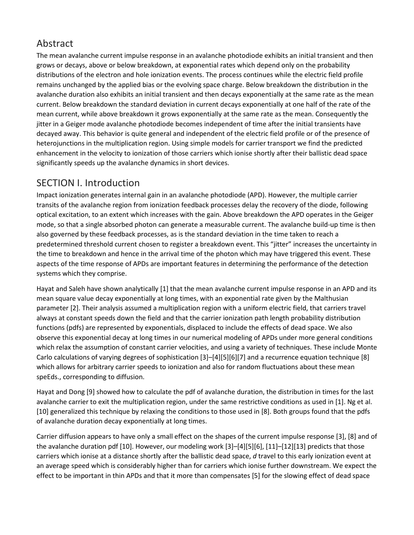## Abstract

The mean avalanche current impulse response in an avalanche photodiode exhibits an initial transient and then grows or decays, above or below breakdown, at exponential rates which depend only on the probability distributions of the electron and hole ionization events. The process continues while the electric field profile remains unchanged by the applied bias or the evolving space charge. Below breakdown the distribution in the avalanche duration also exhibits an initial transient and then decays exponentially at the same rate as the mean current. Below breakdown the standard deviation in current decays exponentially at one half of the rate of the mean current, while above breakdown it grows exponentially at the same rate as the mean. Consequently the jitter in a Geiger mode avalanche photodiode becomes independent of time after the initial transients have decayed away. This behavior is quite general and independent of the electric field profile or of the presence of heterojunctions in the multiplication region. Using simple models for carrier transport we find the predicted enhancement in the velocity to ionization of those carriers which ionise shortly after their ballistic dead space significantly speeds up the avalanche dynamics in short devices.

## SECTION I. Introduction

Impact ionization generates internal gain in an avalanche photodiode (APD). However, the multiple carrier transits of the avalanche region from ionization feedback processes delay the recovery of the diode, following optical excitation, to an extent which increases with the gain. Above breakdown the APD operates in the Geiger mode, so that a single absorbed photon can generate a measurable current. The avalanche build-up time is then also governed by these feedback processes, as is the standard deviation in the time taken to reach a predetermined threshold current chosen to register a breakdown event. This "jitter" increases the uncertainty in the time to breakdown and hence in the arrival time of the photon which may have triggered this event. These aspects of the time response of APDs are important features in determining the performance of the detection systems which they comprise.

Hayat and Saleh have shown analytically [1] that the mean avalanche current impulse response in an APD and its mean square value decay exponentially at long times, with an exponential rate given by the Malthusian parameter [2]. Their analysis assumed a multiplication region with a uniform electric field, that carriers travel always at constant speeds down the field and that the carrier ionization path length probability distribution functions (pdfs) are represented by exponentials, displaced to include the effects of dead space. We also observe this exponential decay at long times in our numerical modeling of APDs under more general conditions which relax the assumption of constant carrier velocities, and using a variety of techniques. These include Monte Carlo calculations of varying degrees of sophistication [3]–[4][5][6][7] and a recurrence equation technique [8] which allows for arbitrary carrier speeds to ionization and also for random fluctuations about these mean speEds., corresponding to diffusion.

Hayat and Dong [9] showed how to calculate the pdf of avalanche duration, the distribution in times for the last avalanche carrier to exit the multiplication region, under the same restrictive conditions as used in [1]. Ng et al. [10] generalized this technique by relaxing the conditions to those used in [8]. Both groups found that the pdfs of avalanche duration decay exponentially at long times.

Carrier diffusion appears to have only a small effect on the shapes of the current impulse response [3], [8] and of the avalanche duration pdf [10]. However, our modeling work [3]–[4][5][6], [11]–[12][13] predicts that those carriers which ionise at a distance shortly after the ballistic dead space, *d* travel to this early ionization event at an average speed which is considerably higher than for carriers which ionise further downstream. We expect the effect to be important in thin APDs and that it more than compensates [5] for the slowing effect of dead space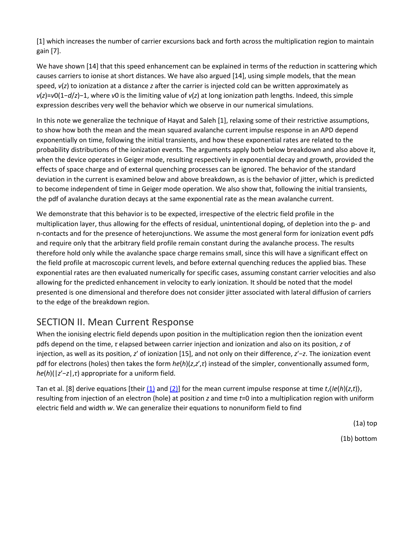[1] which increases the number of carrier excursions back and forth across the multiplication region to maintain gain [7].

We have shown [14] that this speed enhancement can be explained in terms of the reduction in scattering which causes carriers to ionise at short distances. We have also argued [14], using simple models, that the mean speed, *v*(*z*) to ionization at a distance *z* after the carrier is injected cold can be written approximately as *v*(*z*)=*v*0(1−*d*/*z*)−1, where *v*0 is the limiting value of *v*(*z*) at long ionization path lengths. Indeed, this simple expression describes very well the behavior which we observe in our numerical simulations.

In this note we generalize the technique of Hayat and Saleh [1], relaxing some of their restrictive assumptions, to show how both the mean and the mean squared avalanche current impulse response in an APD depend exponentially on time, following the initial transients, and how these exponential rates are related to the probability distributions of the ionization events. The arguments apply both below breakdown and also above it, when the device operates in Geiger mode, resulting respectively in exponential decay and growth, provided the effects of space charge and of external quenching processes can be ignored. The behavior of the standard deviation in the current is examined below and above breakdown, as is the behavior of jitter, which is predicted to become independent of time in Geiger mode operation. We also show that, following the initial transients, the pdf of avalanche duration decays at the same exponential rate as the mean avalanche current.

We demonstrate that this behavior is to be expected, irrespective of the electric field profile in the multiplication layer, thus allowing for the effects of residual, unintentional doping, of depletion into the p- and n-contacts and for the presence of heterojunctions. We assume the most general form for ionization event pdfs and require only that the arbitrary field profile remain constant during the avalanche process. The results therefore hold only while the avalanche space charge remains small, since this will have a significant effect on the field profile at macroscopic current levels, and before external quenching reduces the applied bias. These exponential rates are then evaluated numerically for specific cases, assuming constant carrier velocities and also allowing for the predicted enhancement in velocity to early ionization. It should be noted that the model presented is one dimensional and therefore does not consider jitter associated with lateral diffusion of carriers to the edge of the breakdown region.

### SECTION II. Mean Current Response

When the ionising electric field depends upon position in the multiplication region then the ionization event pdfs depend on the time, *τ* elapsed between carrier injection and ionization and also on its position, *z* of injection, as well as its position, *z*′ of ionization [15], and not only on their difference, *z*′−*z*. The ionization event pdf for electrons (holes) then takes the form *he*(*h*)(*z*,*z*′,*τ*) instead of the simpler, conventionally assumed form, *he*(*h*)(|*z*′−*z*|,*τ*) appropriate for a uniform field.

Tan et al. [8] derive equations [their [\(1\)](https://ieeexplore.ieee.org/document/#deqn1a-1b) and [\(2\)\]](https://ieeexplore.ieee.org/document/#deqn2a-2b) for the mean current impulse response at time *t*,⟨*Ie*(*h*)(*z*,*t*)⟩, resulting from injection of an electron (hole) at position *z* and time *t*=0 into a multiplication region with uniform electric field and width *w*. We can generalize their equations to nonuniform field to find

(1a) top

(1b) bottom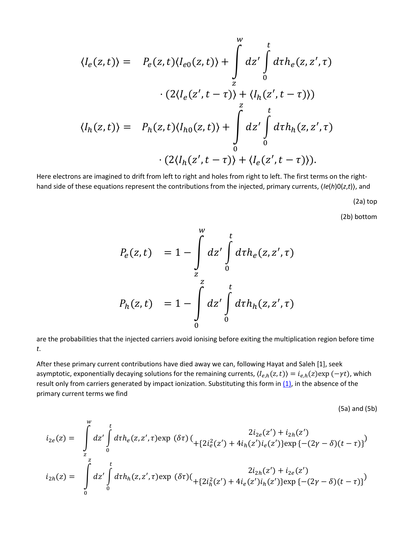$$
\langle I_e(z,t) \rangle = P_e(z,t) \langle I_{e0}(z,t) \rangle + \int\limits_z^w dz' \int\limits_0^t d\tau h_e(z,z',\tau)
$$

$$
\cdot (2 \langle I_e(z',t-\tau) \rangle + \langle I_h(z',t-\tau) \rangle)
$$

$$
\langle I_h(z,t) \rangle = P_h(z,t) \langle I_{h0}(z,t) \rangle + \int\limits_0^z dz' \int\limits_0^t d\tau h_h(z,z',\tau)
$$

$$
\cdot (2 \langle I_h(z',t-\tau) \rangle + \langle I_e(z',t-\tau) \rangle).
$$

Here electrons are imagined to drift from left to right and holes from right to left. The first terms on the righthand side of these equations represent the contributions from the injected, primary currents, ⟨*Ie*(*h*)0(*z*,*t*)⟩, and

(2a) top

(2b) bottom

$$
P_e(z, t) = 1 - \int_{z}^{w} dz' \int_{0}^{t} d\tau h_e(z, z', \tau)
$$

$$
P_h(z, t) = 1 - \int_{0}^{z} dz' \int_{0}^{t} d\tau h_h(z, z', \tau)
$$

are the probabilities that the injected carriers avoid ionising before exiting the multiplication region before time *t*.

After these primary current contributions have died away we can, following Hayat and Saleh [1], seek asymptotic, exponentially decaying solutions for the remaining currents,  $\langle I_{e,h}(z,t)\rangle = i_{e,h}(z)$ exp  $(-\gamma t)$ , which result only from carriers generated by impact ionization. Substituting this form in  $(1)$ , in the absence of the primary current terms we find

(5a) and (5b)

$$
i_{2e}(z) = \int_{z}^{w} dz' \int_{0}^{t} d\tau h_e(z, z', \tau) \exp(\delta \tau) \left( \frac{2i_{2e}(z') + i_{2h}(z')}{\sqrt{2i_e^2(z') + 4i_h(z')i_e(z')\exp\{-(2\gamma - \delta)(t-\tau)\}}} \right)
$$
  

$$
i_{2h}(z) = \int_{0}^{z} dz' \int_{0}^{t} d\tau h_h(z, z', \tau) \exp(\delta \tau) \left( \frac{2i_{2h}(z') + i_{2e}(z')}{\sqrt{2i_h^2(z') + 4i_e(z')i_h(z')\}} \right)
$$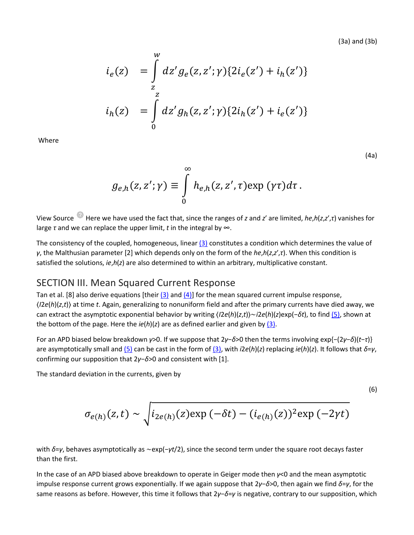(3a) and (3b)

(4a)

$$
i_e(z) = \int_{z}^{w} dz' g_e(z, z'; \gamma) \{ 2i_e(z') + i_h(z') \}
$$
  

$$
i_h(z) = \int_{0}^{z} dz' g_h(z, z'; \gamma) \{ 2i_h(z') + i_e(z') \}
$$

Where

$$
g_{e,h}(z,z';\gamma) \equiv \int\limits_0^\infty h_{e,h}(z,z',\tau) \exp(\gamma \tau) d\tau.
$$

View Source Here we have used the fact that, since the ranges of *z* and *z*′ are limited, *he*,*h*(*z*,*z*′,*τ*) vanishes for large *τ* and we can replace the upper limit, *t* in the integral by ∞.

The consistency of the coupled, homogeneous, linear  $(3)$  constitutes a condition which determines the value of *γ*, the Malthusian parameter [2] which depends only on the form of the *he*,*h*(*z*,*z*′,*τ*). When this condition is satisfied the solutions, *ie*,*h*(*z*) are also determined to within an arbitrary, multiplicative constant.

#### SECTION III. Mean Squared Current Response

Tan et al. [8] also derive equations [their  $(3)$  and  $(4)$ ] for the mean squared current impulse response, ⟨*I*2*e*(*h*)(*z*,*t*)⟩ at time *t*. Again, generalizing to nonuniform field and after the primary currents have died away, we can extract the asymptotic exponential behavior by writing ⟨*I*2*e*(*h*)(*z*,*t*)⟩∼*i*2*e*(*h*)(*z*)exp(−*δt*), to find [\(5\),](https://ieeexplore.ieee.org/document/#deqn5a-5b) shown at the bottom of the page. Here the  $ie(h)(z)$  are as defined earlier and given by  $(3)$ .

For an APD biased below breakdown *γ*>0. If we suppose that 2*γ*−*δ*>0 then the terms involving exp{−(2*γ*−*δ*)(*t*−*τ*)} are asymptotically small an[d \(5\)](https://ieeexplore.ieee.org/document/#deqn5a-5b) can be cast in the form o[f \(3\),](https://ieeexplore.ieee.org/document/#deqn3c-3d) with *i*2*e*(*h*)(*z*) replacing *ie*(*h*)(*z*). It follows that *δ*=*γ*, confirming our supposition that 2*γ*−*δ*>0 and consistent with [1].

The standard deviation in the currents, given by

(6)

$$
\sigma_{e(h)}(z,t) \sim \sqrt{i_{2e(h)}(z) \exp(-\delta t) - (i_{e(h)}(z))^2 \exp(-2\gamma t)}
$$

with *δ*=*γ*, behaves asymptotically as ∼exp(−*γt*/2), since the second term under the square root decays faster than the first.

In the case of an APD biased above breakdown to operate in Geiger mode then *γ*<0 and the mean asymptotic impulse response current grows exponentially. If we again suppose that 2*γ*−*δ*>0, then again we find *δ*=*γ*, for the same reasons as before. However, this time it follows that 2*γ*−*δ*=*γ* is negative, contrary to our supposition, which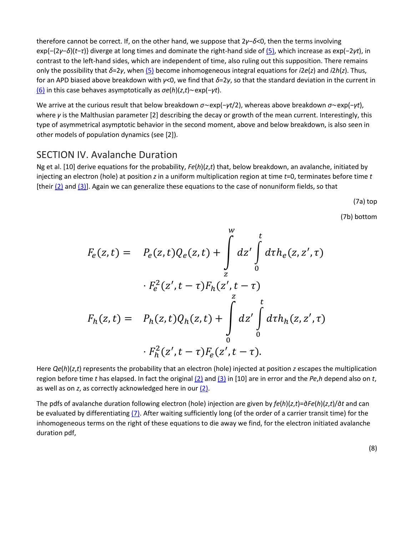therefore cannot be correct. If, on the other hand, we suppose that 2*γ*−*δ*<0, then the terms involving exp{−(2*γ*−*δ*)(*t*−*τ*)} diverge at long times and dominate the right-hand side o[f \(5\)](https://ieeexplore.ieee.org/document/#deqn5a-5b), which increase as exp(−2*γt*), in contrast to the left-hand sides, which are independent of time, also ruling out this supposition. There remains only the possibility that *δ*=2*γ*, whe[n \(5\)](https://ieeexplore.ieee.org/document/#deqn5a-5b) become inhomogeneous integral equations for *i*2*e*(*z*) and *i*2*h*(*z*). Thus, for an APD biased above breakdown with *γ*<0, we find that *δ*=2*γ*, so that the standard deviation in the current in [\(6\)](https://ieeexplore.ieee.org/document/#deqn6) in this case behaves asymptotically as *σe*(*h*)(*z*,*t*)∼exp(−*γt*).

We arrive at the curious result that below breakdown *σ*∼exp(−*γt*/2), whereas above breakdown *σ*∼exp(−*γt*), where *γ* is the Malthusian parameter [2] describing the decay or growth of the mean current. Interestingly, this type of asymmetrical asymptotic behavior in the second moment, above and below breakdown, is also seen in other models of population dynamics (see [2]).

#### SECTION IV. Avalanche Duration

Ng et al. [10] derive equations for the probability, *Fe*(*h*)(*z*,*t*) that, below breakdown, an avalanche, initiated by injecting an electron (hole) at position *z* in a uniform multiplication region at time *t*=0, terminates before time *t* [their [\(2\)](https://ieeexplore.ieee.org/document/#deqn2a-2b) and [\(3\)\]](https://ieeexplore.ieee.org/document/#deqn3c-3d). Again we can generalize these equations to the case of nonuniform fields, so that

(7a) top

(7b) bottom

$$
F_e(z, t) = P_e(z, t)Q_e(z, t) + \int_{z}^{w} dz' \int_{0}^{t} d\tau h_e(z, z', \tau)
$$
  

$$
\cdot F_e^2(z', t - \tau)F_h(z', t - \tau)
$$
  

$$
F_h(z, t) = P_h(z, t)Q_h(z, t) + \int_{0}^{z} dz' \int_{0}^{t} d\tau h_h(z, z', \tau)
$$
  

$$
\cdot F_h^2(z', t - \tau)F_e(z', t - \tau).
$$

Here *Qe*(*h*)(*z*,*t*) represents the probability that an electron (hole) injected at position *z* escapes the multiplication region before time *t* has elapsed. In fact the original [\(2\)](https://ieeexplore.ieee.org/document/#deqn2a-2b) and [\(3\)](https://ieeexplore.ieee.org/document/#deqn3c-3d) in [10] are in error and the *Pe*,*h* depend also on *t*, as well as on *z*, as correctly acknowledged here in ou[r \(2\).](https://ieeexplore.ieee.org/document/#deqn2a-2b)

The pdfs of avalanche duration following electron (hole) injection are given by *fe*(*h*)(*z*,*t*)=∂*Fe*(*h*)(*z*,*t*)/∂*t* and can be evaluated by differentiating [\(7\).](https://ieeexplore.ieee.org/document/#deqn7a-7b) After waiting sufficiently long (of the order of a carrier transit time) for the inhomogeneous terms on the right of these equations to die away we find, for the electron initiated avalanche duration pdf,

(8)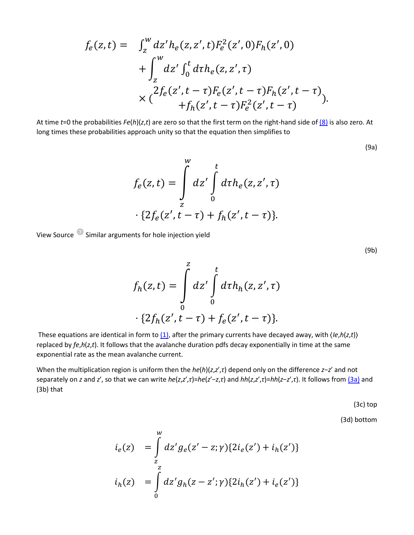$$
f_e(z,t) = \int_z^w dz' h_e(z, z', t) F_e^2(z', 0) F_h(z', 0)
$$
  
+ 
$$
\int_z^w dz' \int_0^t d\tau h_e(z, z', \tau)
$$
  
+ 
$$
\int_z^2 f_e(z', t - \tau) F_e(z', t - \tau) F_h(z', t - \tau)
$$
  
+ 
$$
f_h(z', t - \tau) F_e^2(z', t - \tau)
$$

At time *t*=0 the probabilities *Fe*(*h*)(*z*,*t*) are zero so that the first term on the right-hand side o[f \(8\)](https://ieeexplore.ieee.org/document/#deqn8) is also zero. At long times these probabilities approach unity so that the equation then simplifies to

$$
(9a)
$$

(9b)

$$
f_e(z,t) = \int\limits_z^w dz' \int\limits_0^t d\tau h_e(z, z', \tau)
$$

$$
\cdot \{2f_e(z', t - \tau) + f_h(z', t - \tau)\}.
$$

View Source Similar arguments for hole injection yield

$$
f_h(z,t) = \int\limits_0^z dz' \int\limits_0^t d\tau h_h(z,z',\tau)
$$

$$
\cdot \{2f_h(z',t-\tau) + f_e(z',t-\tau)\}.
$$

These equations are identical in form to  $(1)$ , after the primary currents have decayed away, with  $\langle Ie,h(z,t) \rangle$ replaced by *fe*,*h*(*z*,*t*). It follows that the avalanche duration pdfs decay exponentially in time at the same exponential rate as the mean avalanche current.

When the multiplication region is uniform then the *he*(*h*)(*z*,*z*′,*τ*) depend only on the difference *z*−*z*′ and not separately on z and z', so that we can write  $he(z, z', \tau) = he(z'-z, \tau)$  and  $hh(z, z', \tau) = hh(z-z', \tau)$ . It follows from  $(3a)$  and (3b) that

(3c) top

(3d) bottom

$$
i_e(z) = \int_{z}^{w} dz' g_e(z' - z; \gamma) \{ 2i_e(z') + i_h(z') \}
$$
  

$$
i_h(z) = \int_{0}^{z} dz' g_h(z - z'; \gamma) \{ 2i_h(z') + i_e(z') \}
$$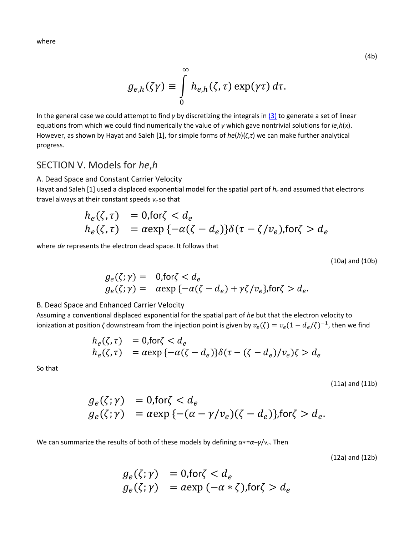where

$$
g_{e,h}(\zeta \gamma) \equiv \int\limits_0^\infty h_{e,h}(\zeta,\tau) \exp(\gamma \tau) d\tau.
$$

In the general case we could attempt to find *γ* by discretizing the integrals in [\(3\)](https://ieeexplore.ieee.org/document/#deqn3c-3d) to generate a set of linear equations from which we could find numerically the value of *γ* which gave nontrivial solutions for *ie*,*h*(*x*). However, as shown by Hayat and Saleh [1], for simple forms of *he*(*h*)(*ζ*,*τ*) we can make further analytical progress.

#### SECTION V. Models for *he*,*h*

A. Dead Space and Constant Carrier Velocity

Hayat and Saleh [1] used a displaced exponential model for the spatial part of *he* and assumed that electrons travel always at their constant speeds *ve* so that

$$
h_e(\zeta, \tau) = 0, \text{for } \zeta < d_e
$$
\n
$$
h_e(\zeta, \tau) = \alpha \exp\left\{-\alpha(\zeta - d_e)\right\} \delta(\tau - \zeta/v_e), \text{for } \zeta > d_e
$$

where *de* represents the electron dead space. It follows that

(10a) and (10b)

$$
g_e(\zeta; \gamma) = 0, \text{for } \zeta < d_e
$$
\n
$$
g_e(\zeta; \gamma) = \alpha \exp\left\{-\alpha(\zeta - d_e) + \gamma \zeta / v_e\right\}, \text{for } \zeta > d_e.
$$

#### B. Dead Space and Enhanced Carrier Velocity

Assuming a conventional displaced exponential for the spatial part of *he* but that the electron velocity to ionization at position *ζ* downstream from the injection point is given by  $v_e(\zeta) = v_e(1 - d_e/\zeta)^{-1}$ , then we find

$$
h_e(\zeta, \tau) = 0, \text{for } \zeta < d_e
$$
\n
$$
h_e(\zeta, \tau) = \alpha \exp\left\{-\alpha(\zeta - d_e)\right\} \delta(\tau - (\zeta - d_e)/v_e) \zeta > d_e
$$

So that

(11a) and (11b)

$$
g_e(\zeta; \gamma) = 0, \text{for } \zeta < d_e
$$
\n
$$
g_e(\zeta; \gamma) = \alpha \exp\left\{-(\alpha - \gamma/v_e)(\zeta - d_e)\right\}, \text{for } \zeta > d_e.
$$

We can summarize the results of both of these models by defining *α*∗=*α*−*γ*/*ve*. Then

(12a) and (12b)

$$
g_e(\zeta; \gamma) = 0, \text{for } \zeta < d_e
$$
\n
$$
g_e(\zeta; \gamma) = a \exp(-\alpha * \zeta), \text{for } \zeta > d_e
$$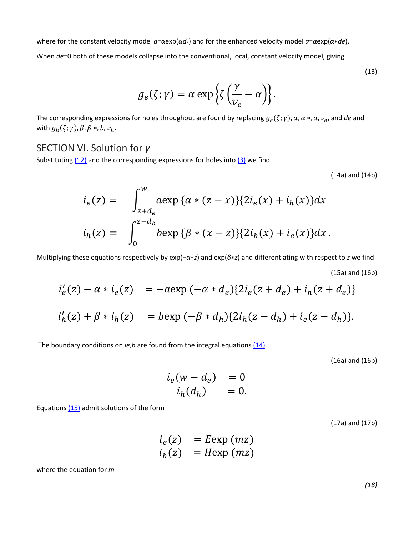where for the constant velocity model *a*=*α*exp(*αde*) and for the enhanced velocity model *a*=*α*exp(*α*∗*de*). When *de*=0 both of these models collapse into the conventional, local, constant velocity model, giving

(13)

$$
g_e(\zeta;\gamma) = \alpha \exp\{\zeta\left(\frac{\gamma}{v_e} - \alpha\right)\}.
$$

The corresponding expressions for holes throughout are found by replacing  $g_e(\zeta; \gamma)$ ,  $\alpha$ ,  $\alpha$ ,  $a$ ,  $v_e$ , and *de* and with  $g_h(\zeta; \gamma)$ ,  $\beta$ ,  $\beta *$ ,  $b$ ,  $v_h$ .

#### SECTION VI. Solution for *γ*

Substituting [\(12\)](https://ieeexplore.ieee.org/document/#deqn12a-12b) and the corresponding expressions for holes into [\(3\)](https://ieeexplore.ieee.org/document/#deqn3c-3d) we find

(14a) and (14b)

$$
i_e(z) = \int_{z+d_e}^{w} a \exp {\alpha * (z - x)} {2i_e(x) + i_h(x)} dx
$$
  

$$
i_h(z) = \int_0^{z - d_h} b \exp {\beta * (x - z)} {2i_h(x) + i_e(x)} dx.
$$

Multiplying these equations respectively by exp(−*α*∗*z*) and exp(*β*∗*z*) and differentiating with respect to *z* we find (15a) and (16b)

$$
i'_{e}(z) - \alpha * i_{e}(z) = -a \exp(-\alpha * d_{e})\{2i_{e}(z + d_{e}) + i_{h}(z + d_{e})\}
$$
  

$$
i'_{h}(z) + \beta * i_{h}(z) = b \exp(-\beta * d_{h})\{2i_{h}(z - d_{h}) + i_{e}(z - d_{h})\}.
$$

The boundary conditions on *ie*,*h* are found from the integral equations [\(14\)](https://ieeexplore.ieee.org/document/#deqn14a-14b)

(16a) and (16b)

$$
i_e(w - d_e) = 0
$$
  

$$
i_h(d_h) = 0.
$$

Equations  $(15)$  admit solutions of the form

$$
(17a) and (17b)
$$

$$
i_e(z) = E \exp(mz)
$$
  

$$
i_h(z) = H \exp(mz)
$$

where the equation for *m*

*(18)*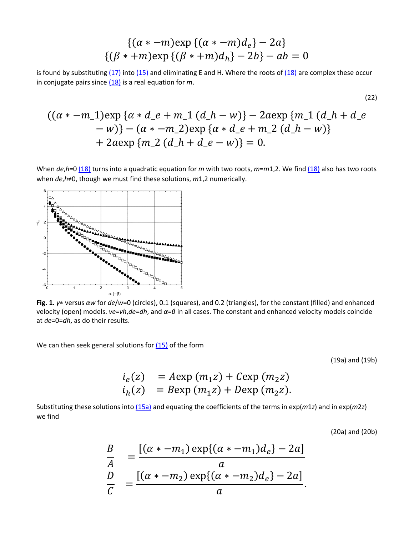$$
\{ (\alpha * -m) \exp \{ (\alpha * -m) d_e \} - 2a \}
$$
  

$$
\{ (\beta * +m) \exp \{ (\beta * +m) d_h \} - 2b \} - ab = 0
$$

is found by substituting  $(17)$  into  $(15)$  and eliminating E and H. Where the roots of  $(18)$  are complex these occur in conjugate pairs since [\(18\)](https://ieeexplore.ieee.org/document/#deqn18) is a real equation for *m*.

$$
((\alpha * -m_1)\exp{\alpha * d_e} + m_1(d_h - w)) - 2a \exp{m_1(d_h + d_e - w)} - (a * -m_2)\exp{\alpha * d_e} + m_2(d_h - w) + 2a \exp{m_2(d_h + d_e - w)} = 0.
$$

When *de*,*h*=0 [\(18\)](https://ieeexplore.ieee.org/document/#deqn18) turns into a quadratic equation for *m* with two roots, *m*=*m*1,2. We find (18) also has two roots when *de*,*h*≠0, though we must find these solutions, *m*1,2 numerically.



**Fig. 1.** *γ*∗ versus *αw* for *de*/*w*=0 (circles), 0.1 (squares), and 0.2 (triangles), for the constant (filled) and enhanced velocity (open) models. *ve*=*vh*,*de*=*dh*, and *α*=*β* in all cases. The constant and enhanced velocity models coincide at *de*=0=*dh*, as do their results.

We can then seek general solutions for  $(15)$  of the form

(19a) and (19b)

(22)

$$
i_e(z) = A \exp(m_1 z) + C \exp(m_2 z)
$$
  

$$
i_h(z) = B \exp(m_1 z) + D \exp(m_2 z).
$$

Substituting these solutions int[o \(15a\)](https://ieeexplore.ieee.org/document/#deqn15a-15b) and equating the coefficients of the terms in exp(*m*1*z*) and in exp(*m*2*z*) we find

(20a) and (20b)

$$
\frac{B}{A} = \frac{[(\alpha * -m_1) \exp{\{(\alpha * -m_1)d_e\}} - 2a]}{a}
$$

$$
\frac{D}{C} = \frac{[(\alpha * -m_2) \exp{\{(\alpha * -m_2)d_e\}} - 2a]}{a}.
$$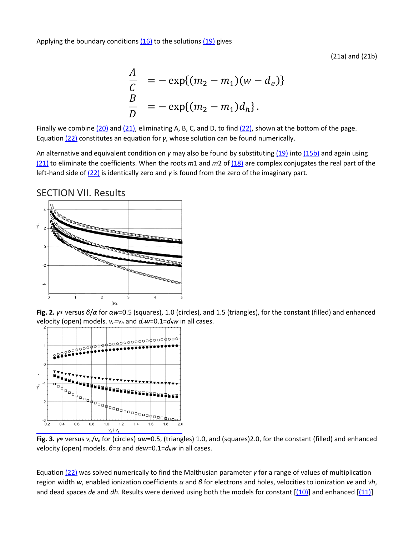Applying the boundary conditions  $(16)$  to the solutions  $(19)$  gives

(21a) and (21b)

$$
\frac{A}{C} = -\exp\{(m_2 - m_1)(w - d_e)\}\
$$

$$
\frac{B}{D} = -\exp\{(m_2 - m_1)d_h\}.
$$

Finally we combine  $(20)$  and  $(21)$ , eliminating A, B, C, and D, to find  $(22)$ , shown at the bottom of the page. Equatio[n \(22\)](https://ieeexplore.ieee.org/document/#deqn22) constitutes an equation for *γ*, whose solution can be found numerically.

An alternative and equivalent condition on *γ* may also be found by substituting [\(19\)](https://ieeexplore.ieee.org/document/#deqn19a-19b) into [\(15b\)](https://ieeexplore.ieee.org/document/#deqn15a-15b) and again using [\(21\)](https://ieeexplore.ieee.org/document/#deqn21a-21b) to eliminate the coefficients. When the roots *m*1 and *m*2 of [\(18\)](https://ieeexplore.ieee.org/document/#deqn18) are complex conjugates the real part of the left-hand side o[f \(22\)](https://ieeexplore.ieee.org/document/#deqn22) is identically zero and *γ* is found from the zero of the imaginary part.



SECTION VII. Results

**Fig. 2.** *γ*∗ versus *β*/*α* for *αw*=0.5 (squares), 1.0 (circles), and 1.5 (triangles), for the constant (filled) and enhanced velocity (open) models.  $v_e = v_h$  and  $d_e w = 0.1 = d_h w$  in all cases.



**Fig. 3.** *γ*∗ versus *vh*/*ve* for (circles) *αw*=0.5, (triangles) 1.0, and (squares)2.0, for the constant (filled) and enhanced velocity (open) models. *β*=*α* and *dew*=0.1=*dhw* in all cases.

Equatio[n \(22\)](https://ieeexplore.ieee.org/document/#deqn22) was solved numerically to find the Malthusian parameter *γ* for a range of values of multiplication region width *w*, enabled ionization coefficients *α* and *β* for electrons and holes, velocities to ionization *ve* and *vh*, and dead spaces *de* and *dh*. Results were derived using both the models for constant [\[\(10\)\]](https://ieeexplore.ieee.org/document/#deqn10a-10b) and enhanced [\[\(11\)\]](https://ieeexplore.ieee.org/document/#deqn11a-11b)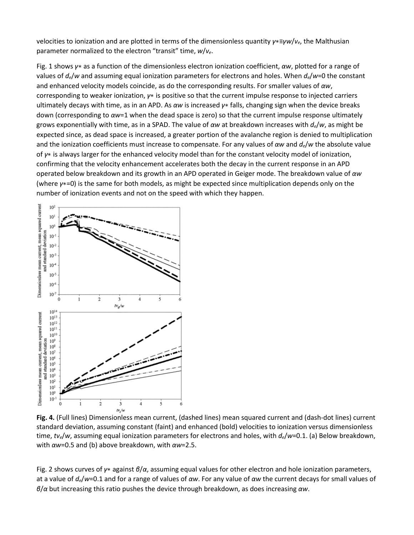velocities to ionization and are plotted in terms of the dimensionless quantity *γ*∗≡*γw*/*ve*, the Malthusian parameter normalized to the electron "transit" time, *w*/*ve*.

Fig. 1 shows *γ*∗ as a function of the dimensionless electron ionization coefficient, *αw*, plotted for a range of values of *de*/*w* and assuming equal ionization parameters for electrons and holes. When *de*/*w*=0 the constant and enhanced velocity models coincide, as do the corresponding results. For smaller values of *αw*, corresponding to weaker ionization, *γ*∗ is positive so that the current impulse response to injected carriers ultimately decays with time, as in an APD. As *αw* is increased *γ*∗ falls, changing sign when the device breaks down (corresponding to *αw*=1 when the dead space is zero) so that the current impulse response ultimately grows exponentially with time, as in a SPAD. The value of *αw* at breakdown increases with *de*/*w*, as might be expected since, as dead space is increased, a greater portion of the avalanche region is denied to multiplication and the ionization coefficients must increase to compensate. For any values of *αw* and *de*/*w* the absolute value of *γ*∗ is always larger for the enhanced velocity model than for the constant velocity model of ionization, confirming that the velocity enhancement accelerates both the decay in the current response in an APD operated below breakdown and its growth in an APD operated in Geiger mode. The breakdown value of *αw* (where *γ*∗=0) is the same for both models, as might be expected since multiplication depends only on the number of ionization events and not on the speed with which they happen.



**Fig. 4.** (Full lines) Dimensionless mean current, (dashed lines) mean squared current and (dash-dot lines) current standard deviation, assuming constant (faint) and enhanced (bold) velocities to ionization versus dimensionless time, *tve*/*w*, assuming equal ionization parameters for electrons and holes, with *de*/*w*=0.1. (a) Below breakdown, with *αw*=0.5 and (b) above breakdown, with *αw*=2.5.

Fig. 2 shows curves of *γ*∗ against *β*/*α*, assuming equal values for other electron and hole ionization parameters, at a value of *de*/*w*=0.1 and for a range of values of *αw*. For any value of *αw* the current decays for small values of *β*/*α* but increasing this ratio pushes the device through breakdown, as does increasing *αw*.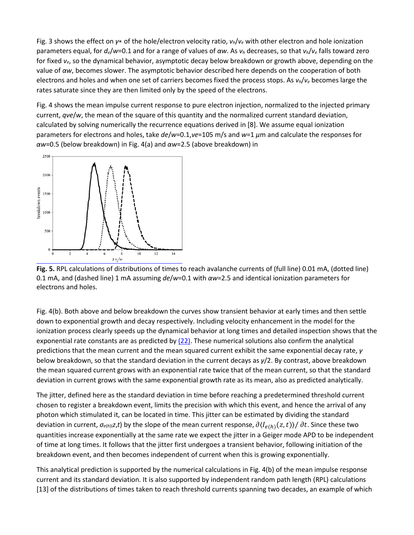Fig. 3 shows the effect on *γ*∗ of the hole/electron velocity ratio, *vh*/*ve* with other electron and hole ionization parameters equal, for *de*/*w*=0.1 and for a range of values of *αw*. As *vh* decreases, so that *vh*/*ve* falls toward zero for fixed *ve*, so the dynamical behavior, asymptotic decay below breakdown or growth above, depending on the value of *αw*, becomes slower. The asymptotic behavior described here depends on the cooperation of both electrons and holes and when one set of carriers becomes fixed the process stops. As *vh*/*ve* becomes large the rates saturate since they are then limited only by the speed of the electrons.

Fig. 4 shows the mean impulse current response to pure electron injection, normalized to the injected primary current, *qve*/*w*, the mean of the square of this quantity and the normalized current standard deviation, calculated by solving numerically the recurrence equations derived in [8]. We assume equal ionization parameters for electrons and holes, take *de*/*w*=0.1,*ve*=105 m/s and *w*=1 *μ*m and calculate the responses for *αw*=0.5 (below breakdown) in Fig. 4(a) and *αw*=2.5 (above breakdown) in



**Fig. 5.** RPL calculations of distributions of times to reach avalanche currents of (full line) 0.01 mA, (dotted line) 0.1 mA, and (dashed line) 1 mA assuming *de*/*w*=0.1 with *αw*=2.5 and identical ionization parameters for electrons and holes.

Fig. 4(b). Both above and below breakdown the curves show transient behavior at early times and then settle down to exponential growth and decay respectively. Including velocity enhancement in the model for the ionization process clearly speeds up the dynamical behavior at long times and detailed inspection shows that the exponential rate constants are as predicted b[y \(22\).](https://ieeexplore.ieee.org/document/#deqn22) These numerical solutions also confirm the analytical predictions that the mean current and the mean squared current exhibit the same exponential decay rate, *γ* below breakdown, so that the standard deviation in the current decays as *γ*/2. By contrast, above breakdown the mean squared current grows with an exponential rate twice that of the mean current, so that the standard deviation in current grows with the same exponential growth rate as its mean, also as predicted analytically.

The jitter, defined here as the standard deviation in time before reaching a predetermined threshold current chosen to register a breakdown event, limits the precision with which this event, and hence the arrival of any photon which stimulated it, can be located in time. This jitter can be estimated by dividing the standard deviation in current,  $\sigma_{e(h)(z,t)}$  by the slope of the mean current response,  $\partial \langle I_{e(h)}(z,t) \rangle / \partial t$ . Since these two quantities increase exponentially at the same rate we expect the jitter in a Geiger mode APD to be independent of time at long times. It follows that the jitter first undergoes a transient behavior, following initiation of the breakdown event, and then becomes independent of current when this is growing exponentially.

This analytical prediction is supported by the numerical calculations in Fig. 4(b) of the mean impulse response current and its standard deviation. It is also supported by independent random path length (RPL) calculations [13] of the distributions of times taken to reach threshold currents spanning two decades, an example of which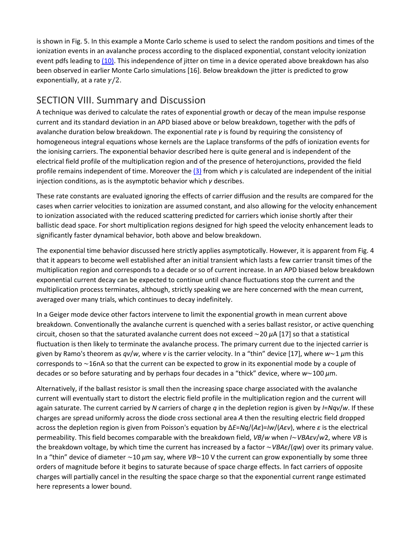is shown in Fig. 5. In this example a Monte Carlo scheme is used to select the random positions and times of the ionization events in an avalanche process according to the displaced exponential, constant velocity ionization event pdfs leading t[o \(10\).](https://ieeexplore.ieee.org/document/#deqn10a-10b) This independence of jitter on time in a device operated above breakdown has also been observed in earlier Monte Carlo simulations [16]. Below breakdown the jitter is predicted to grow exponentially, at a rate  $\gamma/2$ .

#### SECTION VIII. Summary and Discussion

A technique was derived to calculate the rates of exponential growth or decay of the mean impulse response current and its standard deviation in an APD biased above or below breakdown, together with the pdfs of avalanche duration below breakdown. The exponential rate *γ* is found by requiring the consistency of homogeneous integral equations whose kernels are the Laplace transforms of the pdfs of ionization events for the ionising carriers. The exponential behavior described here is quite general and is independent of the electrical field profile of the multiplication region and of the presence of heterojunctions, provided the field profile remains independent of time. Moreover the [\(3\)](https://ieeexplore.ieee.org/document/#deqn3c-3d) from which *γ* is calculated are independent of the initial injection conditions, as is the asymptotic behavior which *γ* describes.

These rate constants are evaluated ignoring the effects of carrier diffusion and the results are compared for the cases when carrier velocities to ionization are assumed constant, and also allowing for the velocity enhancement to ionization associated with the reduced scattering predicted for carriers which ionise shortly after their ballistic dead space. For short multiplication regions designed for high speed the velocity enhancement leads to significantly faster dynamical behavior, both above and below breakdown.

The exponential time behavior discussed here strictly applies asymptotically. However, it is apparent from Fig. 4 that it appears to become well established after an initial transient which lasts a few carrier transit times of the multiplication region and corresponds to a decade or so of current increase. In an APD biased below breakdown exponential current decay can be expected to continue until chance fluctuations stop the current and the multiplication process terminates, although, strictly speaking we are here concerned with the mean current, averaged over many trials, which continues to decay indefinitely.

In a Geiger mode device other factors intervene to limit the exponential growth in mean current above breakdown. Conventionally the avalanche current is quenched with a series ballast resistor, or active quenching circuit, chosen so that the saturated avalanche current does not exceed ∼20 *μ*A [17] so that a statistical fluctuation is then likely to terminate the avalanche process. The primary current due to the injected carrier is given by Ramo's theorem as *qv*/*w*, where *v* is the carrier velocity. In a "thin" device [17], where *w*∼1 *μ*m this corresponds to ∼16nA so that the current can be expected to grow in its exponential mode by a couple of decades or so before saturating and by perhaps four decades in a "thick" device, where *w*∼100 *μ*m.

Alternatively, if the ballast resistor is small then the increasing space charge associated with the avalanche current will eventually start to distort the electric field profile in the multiplication region and the current will again saturate. The current carried by *N* carriers of charge *q* in the depletion region is given by *I*=*Nqv*/*w*. If these charges are spread uniformly across the diode cross sectional area *A* then the resulting electric field dropped across the depletion region is given from Poisson's equation by Δ*E*=*Nq*/(*Aε*)=*Iw*/(*Aεv*), where *ε* is the electrical permeability. This field becomes comparable with the breakdown field, *VB*/*w* when *I*∼*VBAεv*/*w*2, where *VB* is the breakdown voltage, by which time the current has increased by a factor ∼*VBAε*/(*qw*) over its primary value. In a "thin" device of diameter ∼10 *μ*m say, where *VB*∼10 V the current can grow exponentially by some three orders of magnitude before it begins to saturate because of space charge effects. In fact carriers of opposite charges will partially cancel in the resulting the space charge so that the exponential current range estimated here represents a lower bound.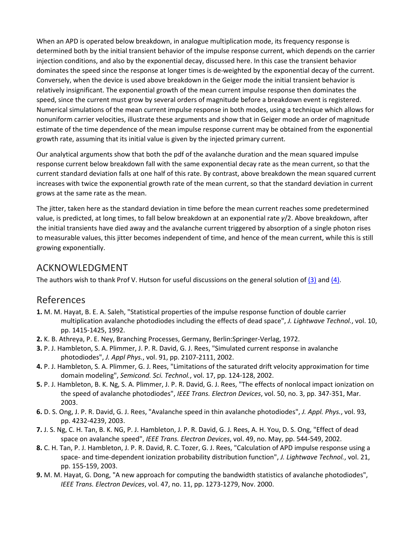When an APD is operated below breakdown, in analogue multiplication mode, its frequency response is determined both by the initial transient behavior of the impulse response current, which depends on the carrier injection conditions, and also by the exponential decay, discussed here. In this case the transient behavior dominates the speed since the response at longer times is de-weighted by the exponential decay of the current. Conversely, when the device is used above breakdown in the Geiger mode the initial transient behavior is relatively insignificant. The exponential growth of the mean current impulse response then dominates the speed, since the current must grow by several orders of magnitude before a breakdown event is registered. Numerical simulations of the mean current impulse response in both modes, using a technique which allows for nonuniform carrier velocities, illustrate these arguments and show that in Geiger mode an order of magnitude estimate of the time dependence of the mean impulse response current may be obtained from the exponential growth rate, assuming that its initial value is given by the injected primary current.

Our analytical arguments show that both the pdf of the avalanche duration and the mean squared impulse response current below breakdown fall with the same exponential decay rate as the mean current, so that the current standard deviation falls at one half of this rate. By contrast, above breakdown the mean squared current increases with twice the exponential growth rate of the mean current, so that the standard deviation in current grows at the same rate as the mean.

The jitter, taken here as the standard deviation in time before the mean current reaches some predetermined value, is predicted, at long times, to fall below breakdown at an exponential rate *γ*/2. Above breakdown, after the initial transients have died away and the avalanche current triggered by absorption of a single photon rises to measurable values, this jitter becomes independent of time, and hence of the mean current, while this is still growing exponentially.

#### ACKNOWLEDGMENT

The authors wish to thank Prof V. Hutson for useful discussions on the general solution of  $(3)$  and  $(4)$ .

#### References

- **1.** M. M. Hayat, B. E. A. Saleh, "Statistical properties of the impulse response function of double carrier multiplication avalanche photodiodes including the effects of dead space", *J. Lightwave Technol.*, vol. 10, pp. 1415-1425, 1992.
- **2.** K. B. Athreya, P. E. Ney, Branching Processes, Germany, Berlin:Springer-Verlag, 1972.
- **3.** P. J. Hambleton, S. A. Plimmer, J. P. R. David, G. J. Rees, "Simulated current response in avalanche photodiodes", *J. Appl Phys.*, vol. 91, pp. 2107-2111, 2002.
- **4.** P. J. Hambleton, S. A. Plimmer, G. J. Rees, "Limitations of the saturated drift velocity approximation for time domain modeling", *Semicond. Sci. Technol.*, vol. 17, pp. 124-128, 2002.
- **5.** P. J. Hambleton, B. K. Ng, S. A. Plimmer, J. P. R. David, G. J. Rees, "The effects of nonlocal impact ionization on the speed of avalanche photodiodes", *IEEE Trans. Electron Devices*, vol. 50, no. 3, pp. 347-351, Mar. 2003.
- **6.** D. S. Ong, J. P. R. David, G. J. Rees, "Avalanche speed in thin avalanche photodiodes", *J. Appl. Phys.*, vol. 93, pp. 4232-4239, 2003.
- **7.** J. S. Ng, C. H. Tan, B. K. NG, P. J. Hambleton, J. P. R. David, G. J. Rees, A. H. You, D. S. Ong, "Effect of dead space on avalanche speed", *IEEE Trans. Electron Devices*, vol. 49, no. May, pp. 544-549, 2002.
- **8.** C. H. Tan, P. J. Hambleton, J. P. R. David, R. C. Tozer, G. J. Rees, "Calculation of APD impulse response using a space- and time-dependent ionization probability distribution function", *J. Lightwave Technol.*, vol. 21, pp. 155-159, 2003.
- **9.** M. M. Hayat, G. Dong, "A new approach for computing the bandwidth statistics of avalanche photodiodes", *IEEE Trans. Electron Devices*, vol. 47, no. 11, pp. 1273-1279, Nov. 2000.